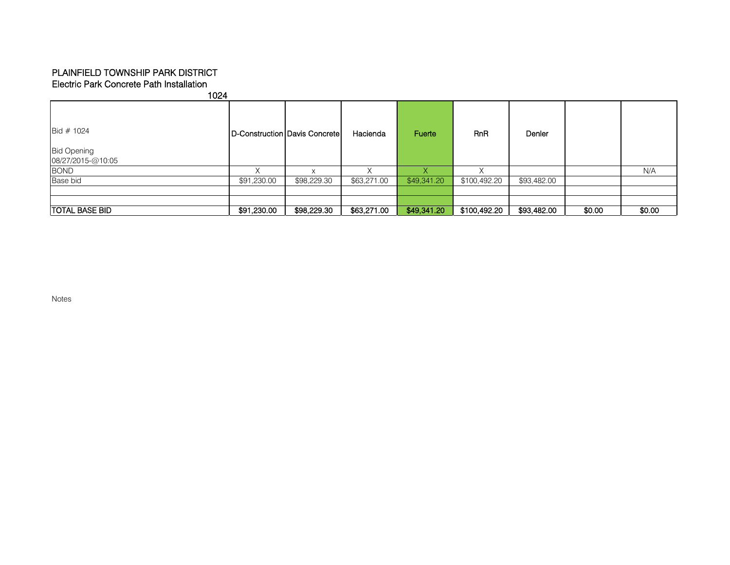## Electric Park Concrete Path Installation PLAINFIELD TOWNSHIP PARK DISTRICT

| 1024                                                    |             |                               |             |             |              |             |        |        |
|---------------------------------------------------------|-------------|-------------------------------|-------------|-------------|--------------|-------------|--------|--------|
| Bid $# 1024$<br><b>Bid Opening</b><br>08/27/2015-@10:05 |             | D-Construction Davis Concrete | Hacienda    | Fuerte      | <b>RnR</b>   | Denler      |        |        |
| <b>BOND</b>                                             |             | $\checkmark$                  |             |             |              |             |        | N/A    |
| Base bid                                                | \$91,230.00 | \$98,229.30                   | \$63,271.00 | \$49,341.20 | \$100,492.20 | \$93,482.00 |        |        |
|                                                         |             |                               |             |             |              |             |        |        |
|                                                         |             |                               |             |             |              |             |        |        |
| <b>TOTAL BASE BID</b>                                   | \$91,230.00 | \$98,229.30                   | \$63,271.00 | \$49,341.20 | \$100,492.20 | \$93,482.00 | \$0.00 | \$0.00 |

Notes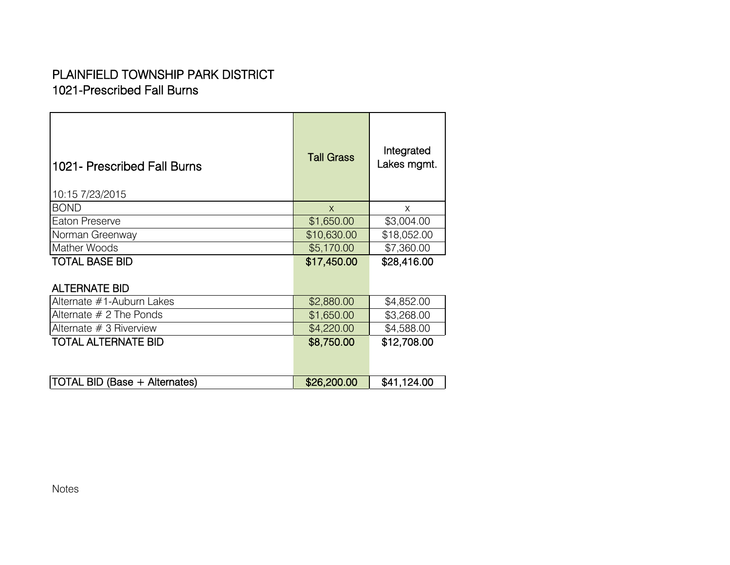## 1021-Prescribed Fall Burns PLAINFIELD TOWNSHIP PARK DISTRICT

| 1021- Prescribed Fall Burns<br>10:15 7/23/2015 | <b>Tall Grass</b> | Integrated<br>Lakes mgmt. |
|------------------------------------------------|-------------------|---------------------------|
| <b>BOND</b>                                    | $\mathsf{x}$      | X                         |
| Eaton Preserve                                 | \$1,650.00        | \$3,004.00                |
| Norman Greenway                                | \$10,630.00       | \$18,052.00               |
| Mather Woods                                   | \$5,170.00        | \$7,360.00                |
| <b>TOTAL BASE BID</b>                          | \$17,450.00       | \$28,416.00               |
| <b>ALTERNATE BID</b>                           |                   |                           |
| Alternate #1-Auburn Lakes                      | \$2,880.00        | \$4,852.00                |
| Alternate $# 2$ The Ponds                      | \$1,650.00        | \$3,268.00                |
| Alternate $# 3$ Riverview                      | \$4,220.00        | \$4,588.00                |
| <b>TOTAL ALTERNATE BID</b>                     | \$8,750.00        | \$12,708.00               |
| <b>TOTAL BID (Base + Alternates)</b>           | \$26,200.00       | \$41,124.00               |

Notes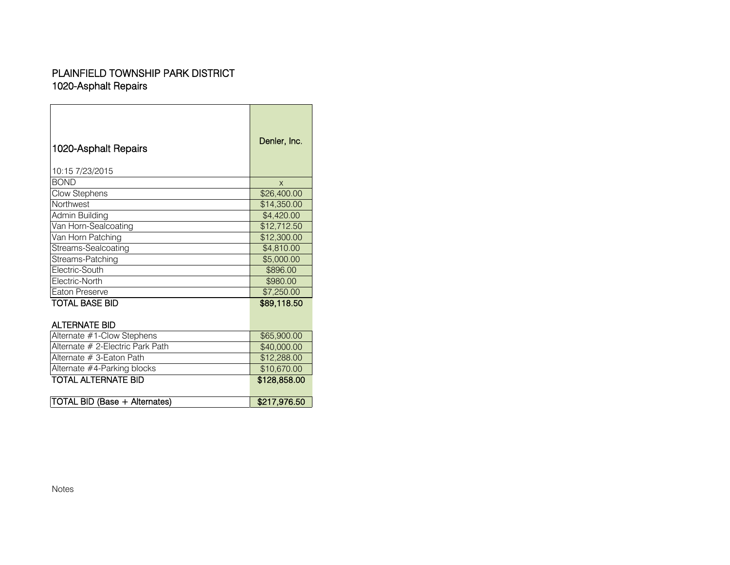## 1020-Asphalt Repairs PLAINFIELD TOWNSHIP PARK DISTRICT

| 1020-Asphalt Repairs<br>10:15 7/23/2015 | Denler, Inc. |
|-----------------------------------------|--------------|
| <b>BOND</b>                             | X            |
| Clow Stephens                           | \$26,400.00  |
| Northwest                               | \$14,350.00  |
| Admin Building                          | \$4,420.00   |
| Van Horn-Sealcoating                    | \$12,712.50  |
| Van Horn Patching                       | \$12,300.00  |
| Streams-Sealcoating                     | \$4,810.00   |
| Streams-Patching                        | \$5,000.00   |
| Electric-South                          | \$896.00     |
| Electric-North                          | \$980,00     |
| Eaton Preserve                          | \$7,250.00   |
| TOTAL BASE BID                          | \$89,118.50  |
| <b>ALTERNATE BID</b>                    |              |
| Alternate #1-Clow Stephens              | \$65,900.00  |
| Alternate # 2-Electric Park Path        | \$40,000.00  |
| Alternate # 3-Eaton Path                | \$12,288.00  |
| Alternate #4-Parking blocks             | \$10,670.00  |
| <b>TOTAL ALTERNATE BID</b>              | \$128,858.00 |
| <b>TOTAL BID (Base + Alternates)</b>    | \$217,976.50 |